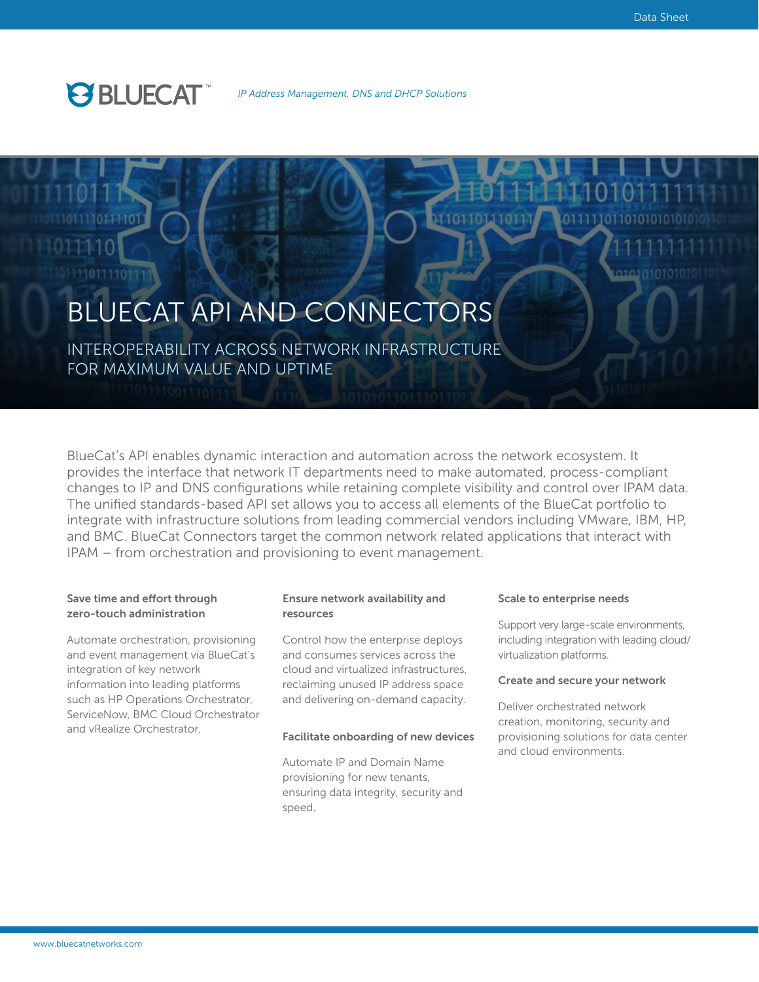## **PBLUECAT**

# BLUECAT API AND CONNECTORS

INTEROPERABILITY ACROSS NETWORK INFRASTRUCTURE FOR MAXIMUM VALUE AND UPTIME

BlueCat's API enables dynamic interaction and automation across the network ecosystem. It provides the interface that network IT departments need to make automated, process-compliant changes to IP and DNS configurations while retaining complete visibility and control over IPAM data. The unified standards-based API set allows you to access all elements of the BlueCat portfolio to integrate with infrastructure solutions from leading commercial vendors including VMware, IBM, HP, and BMC. BlueCat Connectors target the common network related applications that interact with IPAM – from orchestration and provisioning to event management.

#### Save time and effort through zero-touch administration

Automate orchestration, provisioning and event management via BlueCat's integration of key network information into leading platforms such as HP Operations Orchestrator, ServiceNow, BMC Cloud Orchestrator and vRealize Orchestrator.

#### Ensure network availability and resources

Control how the enterprise deploys and consumes services across the cloud and virtualized infrastructures, reclaiming unused IP address space and delivering on-demand capacity.

#### Facilitate onboarding of new devices

Automate IP and Domain Name provisioning for new tenants, ensuring data integrity, security and speed.

#### Scale to enterprise needs

Support very large-scale environments, including integration with leading cloud/ virtualization platforms.

#### Create and secure your network

Deliver orchestrated network creation, monitoring, security and provisioning solutions for data center and cloud environments.